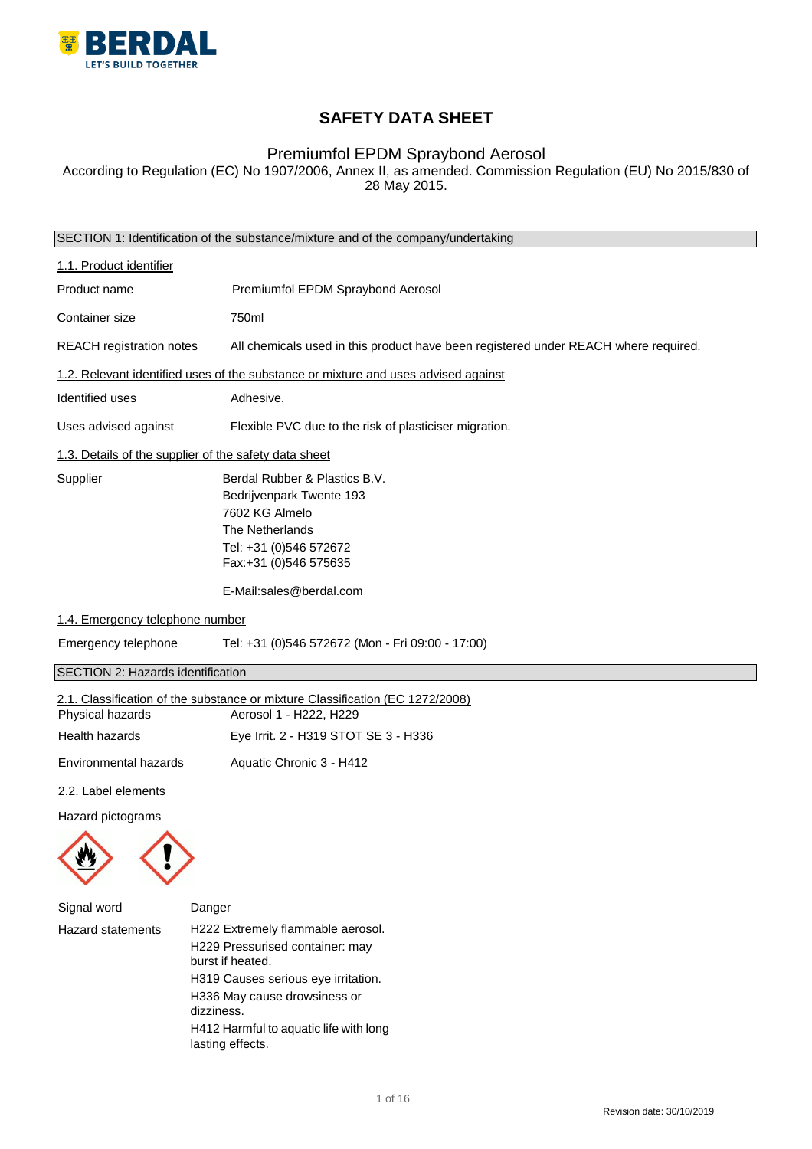

# **SAFETY DATA SHEET**

# Premiumfol EPDM Spraybond Aerosol

According to Regulation (EC) No 1907/2006, Annex II, as amended. Commission Regulation (EU) No 2015/830 of 28 May 2015.

|                                    | SECTION 1: Identification of the substance/mixture and of the company/undertaking                                                                               |
|------------------------------------|-----------------------------------------------------------------------------------------------------------------------------------------------------------------|
| 1.1. Product identifier            |                                                                                                                                                                 |
| Product name                       | Premiumfol EPDM Spraybond Aerosol                                                                                                                               |
| Container size                     | 750ml                                                                                                                                                           |
| <b>REACH</b> registration notes    | All chemicals used in this product have been registered under REACH where required.                                                                             |
|                                    | 1.2. Relevant identified uses of the substance or mixture and uses advised against                                                                              |
| <b>Identified uses</b>             | Adhesive.                                                                                                                                                       |
| Uses advised against               | Flexible PVC due to the risk of plasticiser migration.                                                                                                          |
|                                    | 1.3. Details of the supplier of the safety data sheet                                                                                                           |
| Supplier                           | Berdal Rubber & Plastics B.V.<br>Bedrijvenpark Twente 193<br>7602 KG Almelo<br>The Netherlands<br>Tel: +31 (0)546 572672<br>Fax:+31 (0)546 575635               |
|                                    | E-Mail:sales@berdal.com                                                                                                                                         |
| 1.4. Emergency telephone number    |                                                                                                                                                                 |
| Emergency telephone                | Tel: +31 (0)546 572672 (Mon - Fri 09:00 - 17:00)                                                                                                                |
| SECTION 2: Hazards identification  |                                                                                                                                                                 |
| Physical hazards<br>Health hazards | 2.1. Classification of the substance or mixture Classification (EC 1272/2008)<br>Aerosol 1 - H222, H229<br>Eye Irrit. 2 - H319 STOT SE 3 - H336                 |
| Environmental hazards              | Aquatic Chronic 3 - H412                                                                                                                                        |
| 2.2. Label elements                |                                                                                                                                                                 |
| Hazard pictograms                  |                                                                                                                                                                 |
| Signal word                        | Danger                                                                                                                                                          |
| <b>Hazard statements</b>           | H222 Extremely flammable aerosol.<br>H229 Pressurised container: may<br>burst if heated.<br>H319 Causes serious eye irritation.<br>H336 May cause drowsiness or |

- dizziness.
- H412 Harmful to aquatic life with long lasting effects.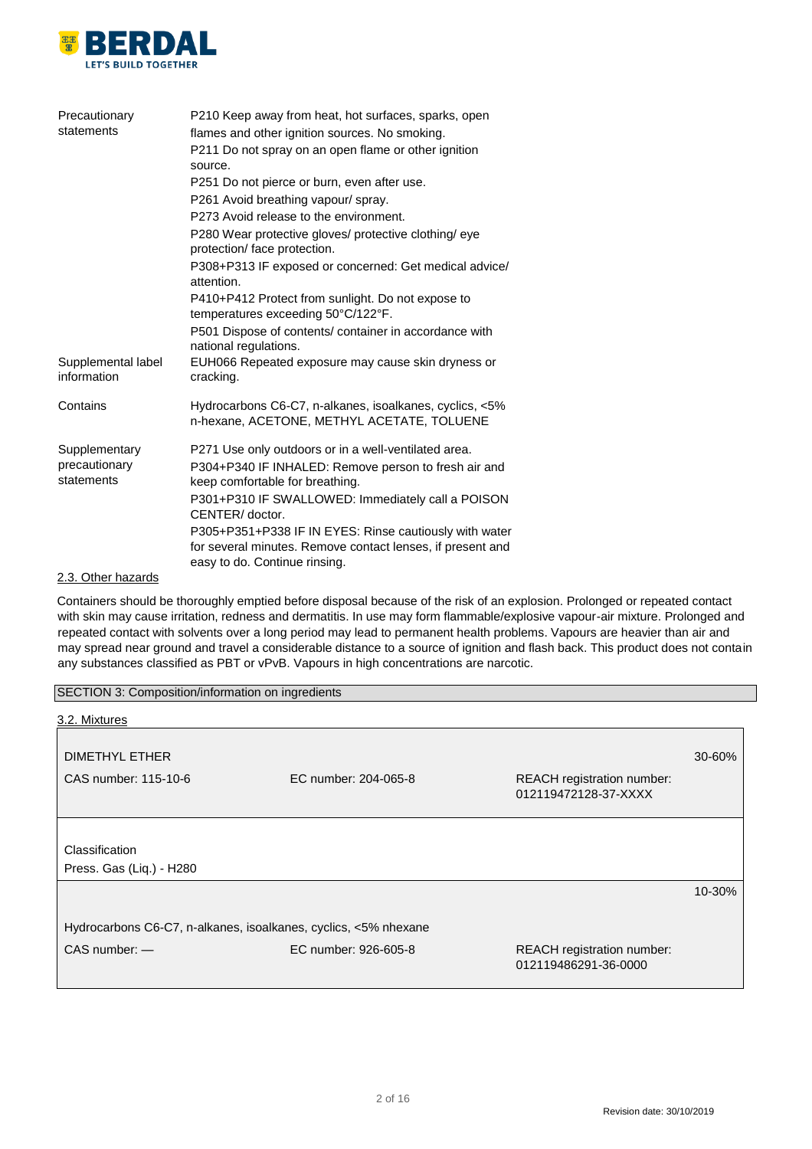

| Precautionary<br>statements                  | P210 Keep away from heat, hot surfaces, sparks, open<br>flames and other ignition sources. No smoking.<br>P211 Do not spray on an open flame or other ignition<br>source.<br>P251 Do not pierce or burn, even after use.<br>P261 Avoid breathing vapour/spray.<br>P273 Avoid release to the environment.<br>P280 Wear protective gloves/ protective clothing/ eye<br>protection/face protection.<br>P308+P313 IF exposed or concerned: Get medical advice/<br>attention. |
|----------------------------------------------|--------------------------------------------------------------------------------------------------------------------------------------------------------------------------------------------------------------------------------------------------------------------------------------------------------------------------------------------------------------------------------------------------------------------------------------------------------------------------|
| Supplemental label<br>information            | P410+P412 Protect from sunlight. Do not expose to<br>temperatures exceeding 50°C/122°F.<br>P501 Dispose of contents/ container in accordance with<br>national regulations.<br>EUH066 Repeated exposure may cause skin dryness or<br>cracking.                                                                                                                                                                                                                            |
| Contains                                     | Hydrocarbons C6-C7, n-alkanes, isoalkanes, cyclics, <5%<br>n-hexane, ACETONE, METHYL ACETATE, TOLUENE                                                                                                                                                                                                                                                                                                                                                                    |
| Supplementary<br>precautionary<br>statements | P271 Use only outdoors or in a well-ventilated area.<br>P304+P340 IF INHALED: Remove person to fresh air and<br>keep comfortable for breathing.<br>P301+P310 IF SWALLOWED: Immediately call a POISON<br>CENTER/doctor.<br>P305+P351+P338 IF IN EYES: Rinse cautiously with water<br>for several minutes. Remove contact lenses, if present and<br>easy to do. Continue rinsing.                                                                                          |

2.3. Other hazards

Containers should be thoroughly emptied before disposal because of the risk of an explosion. Prolonged or repeated contact with skin may cause irritation, redness and dermatitis. In use may form flammable/explosive vapour-air mixture. Prolonged and repeated contact with solvents over a long period may lead to permanent health problems. Vapours are heavier than air and may spread near ground and travel a considerable distance to a source of ignition and flash back. This product does not contain any substances classified as PBT or vPvB. Vapours in high concentrations are narcotic.

| SECTION 3: Composition/information on ingredients |                                                                 |                                                    |        |
|---------------------------------------------------|-----------------------------------------------------------------|----------------------------------------------------|--------|
| 3.2. Mixtures                                     |                                                                 |                                                    |        |
| <b>DIMETHYL ETHER</b>                             |                                                                 |                                                    | 30-60% |
| CAS number: 115-10-6                              | EC number: 204-065-8                                            | REACH registration number:<br>012119472128-37-XXXX |        |
|                                                   |                                                                 |                                                    |        |
| Classification                                    |                                                                 |                                                    |        |
| Press. Gas (Liq.) - H280                          |                                                                 |                                                    |        |
|                                                   |                                                                 |                                                    | 10-30% |
|                                                   | Hydrocarbons C6-C7, n-alkanes, isoalkanes, cyclics, <5% nhexane |                                                    |        |
| $CAS$ number: $-$                                 | EC number: 926-605-8                                            | REACH registration number:<br>012119486291-36-0000 |        |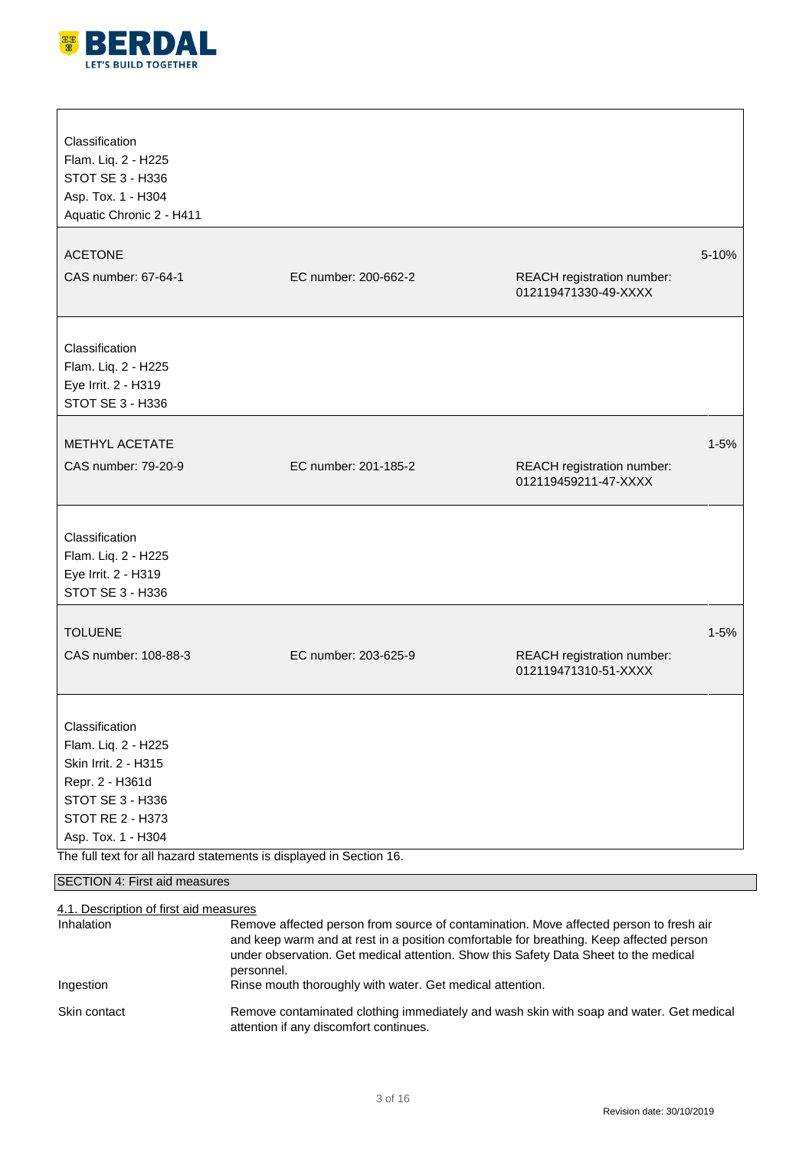

| Classification                                                      |                      |                                                    |          |
|---------------------------------------------------------------------|----------------------|----------------------------------------------------|----------|
| Flam. Liq. 2 - H225                                                 |                      |                                                    |          |
| STOT SE 3 - H336                                                    |                      |                                                    |          |
| Asp. Tox. 1 - H304                                                  |                      |                                                    |          |
| Aquatic Chronic 2 - H411                                            |                      |                                                    |          |
|                                                                     |                      |                                                    |          |
| <b>ACETONE</b>                                                      |                      |                                                    | 5-10%    |
| CAS number: 67-64-1                                                 | EC number: 200-662-2 | REACH registration number:<br>012119471330-49-XXXX |          |
|                                                                     |                      |                                                    |          |
| Classification                                                      |                      |                                                    |          |
| Flam. Liq. 2 - H225                                                 |                      |                                                    |          |
| Eye Irrit. 2 - H319                                                 |                      |                                                    |          |
| STOT SE 3 - H336                                                    |                      |                                                    |          |
|                                                                     |                      |                                                    |          |
| METHYL ACETATE                                                      |                      |                                                    | $1 - 5%$ |
| CAS number: 79-20-9                                                 | EC number: 201-185-2 | REACH registration number:<br>012119459211-47-XXXX |          |
|                                                                     |                      |                                                    |          |
| Classification                                                      |                      |                                                    |          |
| Flam. Liq. 2 - H225                                                 |                      |                                                    |          |
| Eye Irrit. 2 - H319                                                 |                      |                                                    |          |
| STOT SE 3 - H336                                                    |                      |                                                    |          |
|                                                                     |                      |                                                    |          |
| <b>TOLUENE</b>                                                      |                      |                                                    | $1 - 5%$ |
| CAS number: 108-88-3                                                | EC number: 203-625-9 | REACH registration number:<br>012119471310-51-XXXX |          |
|                                                                     |                      |                                                    |          |
| Classification                                                      |                      |                                                    |          |
| Flam. Liq. 2 - H225                                                 |                      |                                                    |          |
| Skin Irrit. 2 - H315                                                |                      |                                                    |          |
| Repr. 2 - H361d                                                     |                      |                                                    |          |
| STOT SE 3 - H336                                                    |                      |                                                    |          |
| STOT RE 2 - H373                                                    |                      |                                                    |          |
| Asp. Tox. 1 - H304                                                  |                      |                                                    |          |
| The full text for all hazard statements is displayed in Section 16. |                      |                                                    |          |
| SECTION 4: First aid measures                                       |                      |                                                    |          |

## SECTION 4: First aid measures

## 4.1. Description of first aid measures

| Inhalation   | Remove affected person from source of contamination. Move affected person to fresh air<br>and keep warm and at rest in a position comfortable for breathing. Keep affected person<br>under observation. Get medical attention. Show this Safety Data Sheet to the medical<br>personnel. |
|--------------|-----------------------------------------------------------------------------------------------------------------------------------------------------------------------------------------------------------------------------------------------------------------------------------------|
| Ingestion    | Rinse mouth thoroughly with water. Get medical attention.                                                                                                                                                                                                                               |
| Skin contact | Remove contaminated clothing immediately and wash skin with soap and water. Get medical<br>attention if any discomfort continues.                                                                                                                                                       |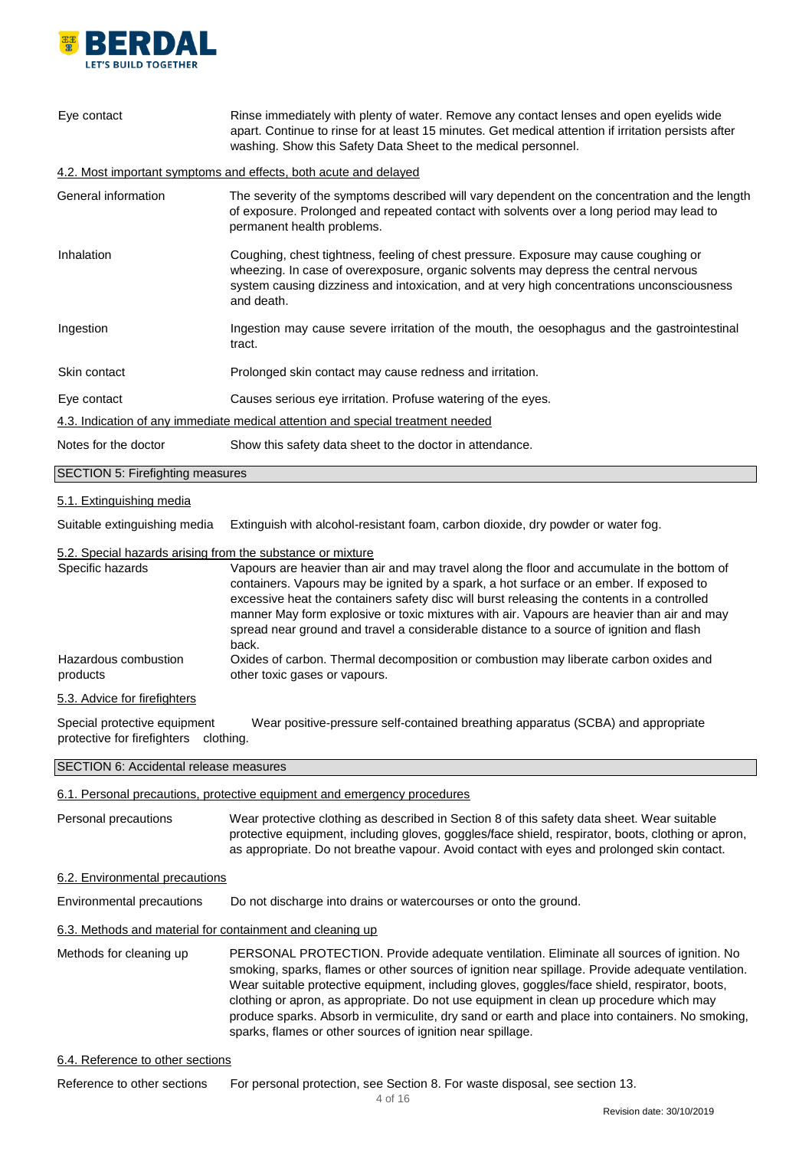

| Eye contact                                                                    | Rinse immediately with plenty of water. Remove any contact lenses and open eyelids wide<br>apart. Continue to rinse for at least 15 minutes. Get medical attention if irritation persists after<br>washing. Show this Safety Data Sheet to the medical personnel.                                                                                                                                                                                                                                                                                          |
|--------------------------------------------------------------------------------|------------------------------------------------------------------------------------------------------------------------------------------------------------------------------------------------------------------------------------------------------------------------------------------------------------------------------------------------------------------------------------------------------------------------------------------------------------------------------------------------------------------------------------------------------------|
|                                                                                | 4.2. Most important symptoms and effects, both acute and delayed                                                                                                                                                                                                                                                                                                                                                                                                                                                                                           |
| General information                                                            | The severity of the symptoms described will vary dependent on the concentration and the length<br>of exposure. Prolonged and repeated contact with solvents over a long period may lead to<br>permanent health problems.                                                                                                                                                                                                                                                                                                                                   |
| Inhalation                                                                     | Coughing, chest tightness, feeling of chest pressure. Exposure may cause coughing or<br>wheezing. In case of overexposure, organic solvents may depress the central nervous<br>system causing dizziness and intoxication, and at very high concentrations unconsciousness<br>and death.                                                                                                                                                                                                                                                                    |
| Ingestion                                                                      | Ingestion may cause severe irritation of the mouth, the oesophagus and the gastrointestinal<br>tract.                                                                                                                                                                                                                                                                                                                                                                                                                                                      |
| Skin contact                                                                   | Prolonged skin contact may cause redness and irritation.                                                                                                                                                                                                                                                                                                                                                                                                                                                                                                   |
| Eye contact                                                                    | Causes serious eye irritation. Profuse watering of the eyes.                                                                                                                                                                                                                                                                                                                                                                                                                                                                                               |
|                                                                                | 4.3. Indication of any immediate medical attention and special treatment needed                                                                                                                                                                                                                                                                                                                                                                                                                                                                            |
| Notes for the doctor                                                           | Show this safety data sheet to the doctor in attendance.                                                                                                                                                                                                                                                                                                                                                                                                                                                                                                   |
| SECTION 5: Firefighting measures                                               |                                                                                                                                                                                                                                                                                                                                                                                                                                                                                                                                                            |
| 5.1. Extinguishing media                                                       |                                                                                                                                                                                                                                                                                                                                                                                                                                                                                                                                                            |
| Suitable extinguishing media                                                   | Extinguish with alcohol-resistant foam, carbon dioxide, dry powder or water fog.                                                                                                                                                                                                                                                                                                                                                                                                                                                                           |
| 5.2. Special hazards arising from the substance or mixture<br>Specific hazards | Vapours are heavier than air and may travel along the floor and accumulate in the bottom of<br>containers. Vapours may be ignited by a spark, a hot surface or an ember. If exposed to<br>excessive heat the containers safety disc will burst releasing the contents in a controlled<br>manner May form explosive or toxic mixtures with air. Vapours are heavier than air and may<br>spread near ground and travel a considerable distance to a source of ignition and flash<br>back.                                                                    |
| Hazardous combustion<br>products                                               | Oxides of carbon. Thermal decomposition or combustion may liberate carbon oxides and<br>other toxic gases or vapours.                                                                                                                                                                                                                                                                                                                                                                                                                                      |
| 5.3. Advice for firefighters                                                   |                                                                                                                                                                                                                                                                                                                                                                                                                                                                                                                                                            |
| Special protective equipment<br>protective for firefighters                    | Wear positive-pressure self-contained breathing apparatus (SCBA) and appropriate<br>clothing.                                                                                                                                                                                                                                                                                                                                                                                                                                                              |
| SECTION 6: Accidental release measures                                         |                                                                                                                                                                                                                                                                                                                                                                                                                                                                                                                                                            |
|                                                                                | 6.1. Personal precautions, protective equipment and emergency procedures                                                                                                                                                                                                                                                                                                                                                                                                                                                                                   |
| Personal precautions                                                           | Wear protective clothing as described in Section 8 of this safety data sheet. Wear suitable<br>protective equipment, including gloves, goggles/face shield, respirator, boots, clothing or apron,<br>as appropriate. Do not breathe vapour. Avoid contact with eyes and prolonged skin contact.                                                                                                                                                                                                                                                            |
| 6.2. Environmental precautions                                                 |                                                                                                                                                                                                                                                                                                                                                                                                                                                                                                                                                            |
| Environmental precautions                                                      | Do not discharge into drains or watercourses or onto the ground.                                                                                                                                                                                                                                                                                                                                                                                                                                                                                           |
| 6.3. Methods and material for containment and cleaning up                      |                                                                                                                                                                                                                                                                                                                                                                                                                                                                                                                                                            |
| Methods for cleaning up                                                        | PERSONAL PROTECTION. Provide adequate ventilation. Eliminate all sources of ignition. No<br>smoking, sparks, flames or other sources of ignition near spillage. Provide adequate ventilation.<br>Wear suitable protective equipment, including gloves, goggles/face shield, respirator, boots,<br>clothing or apron, as appropriate. Do not use equipment in clean up procedure which may<br>produce sparks. Absorb in vermiculite, dry sand or earth and place into containers. No smoking,<br>sparks, flames or other sources of ignition near spillage. |

## 6.4. Reference to other sections

Reference to other sections For personal protection, see Section 8. For waste disposal, see section 13.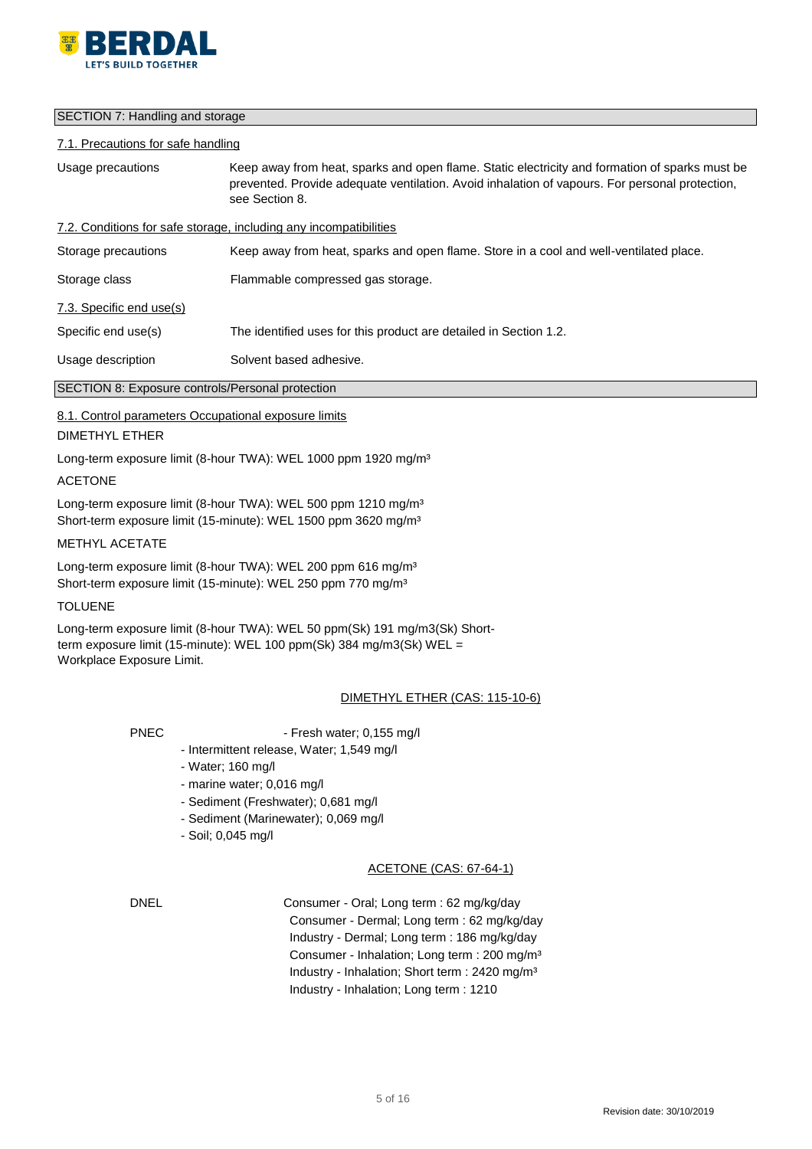

### SECTION 7: Handling and storage

#### 7.1. Precautions for safe handling

Usage precautions Keep away from heat, sparks and open flame. Static electricity and formation of sparks must be prevented. Provide adequate ventilation. Avoid inhalation of vapours. For personal protection, see Section 8. 7.2. Conditions for safe storage, including any incompatibilities Storage precautions Keep away from heat, sparks and open flame. Store in a cool and well-ventilated place. Storage class Flammable compressed gas storage. 7.3. Specific end use(s) Specific end use(s) The identified uses for this product are detailed in Section 1.2. Usage description Solvent based adhesive. SECTION 8: Exposure controls/Personal protection

#### 8.1. Control parameters Occupational exposure limits

#### DIMETHYL ETHER

Long-term exposure limit (8-hour TWA): WEL 1000 ppm 1920 mg/m<sup>3</sup>

#### ACETONE

Long-term exposure limit (8-hour TWA): WEL 500 ppm 1210 mg/m<sup>3</sup> Short-term exposure limit (15-minute): WEL 1500 ppm 3620 mg/m<sup>3</sup>

#### METHYL ACETATE

Long-term exposure limit (8-hour TWA): WEL 200 ppm 616 mg/m<sup>3</sup> Short-term exposure limit (15-minute): WEL 250 ppm 770 mg/m<sup>3</sup>

#### TOLUENE

Long-term exposure limit (8-hour TWA): WEL 50 ppm(Sk) 191 mg/m3(Sk) Shortterm exposure limit (15-minute): WEL 100 ppm(Sk) 384 mg/m3(Sk) WEL = Workplace Exposure Limit.

#### DIMETHYL ETHER (CAS: 115-10-6)

PNEC - Fresh water; 0,155 mg/l

- Intermittent release, Water; 1,549 mg/l
- Water; 160 mg/l
- marine water; 0,016 mg/l
- Sediment (Freshwater); 0,681 mg/l
- Sediment (Marinewater); 0,069 mg/l
- Soil; 0,045 mg/l

### ACETONE (CAS: 67-64-1)

DNEL Consumer - Oral; Long term : 62 mg/kg/day Consumer - Dermal; Long term : 62 mg/kg/day Industry - Dermal; Long term : 186 mg/kg/day Consumer - Inhalation; Long term : 200 mg/m³ Industry - Inhalation; Short term : 2420 mg/m³ Industry - Inhalation; Long term : 1210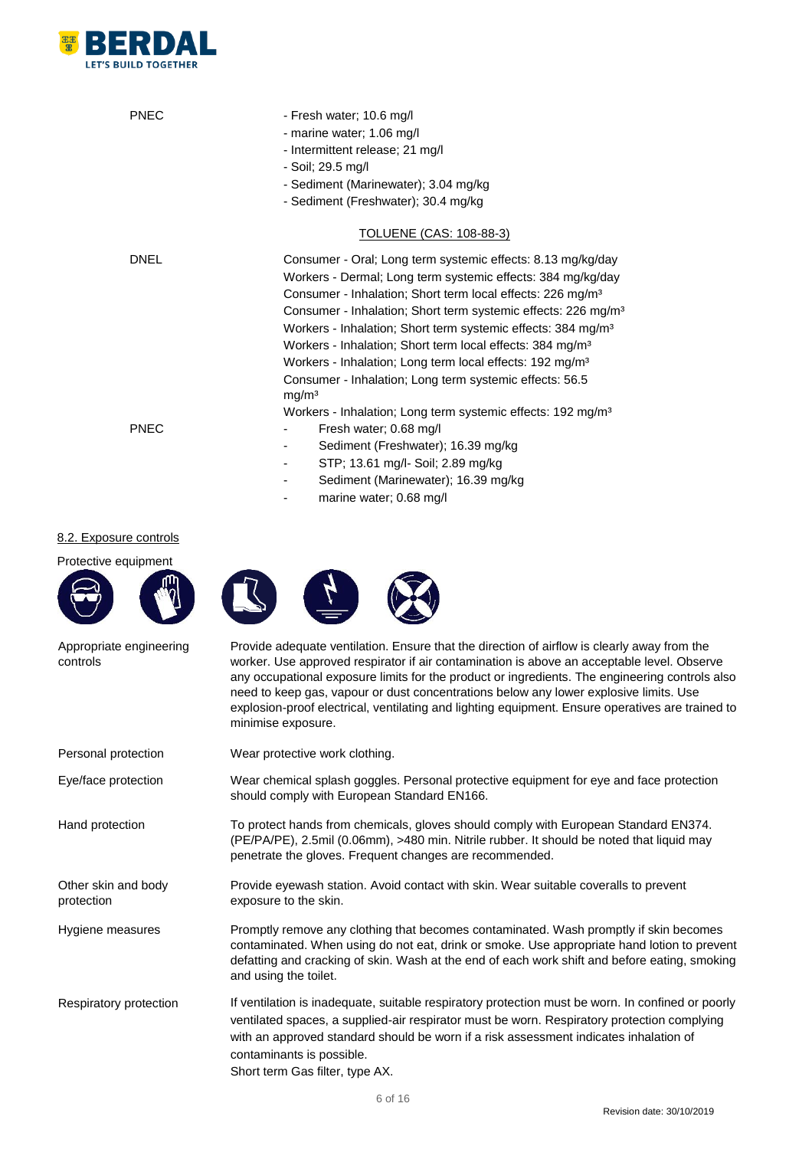

| <b>PNEC</b>             | - Fresh water; 10.6 mg/l                                                                    |
|-------------------------|---------------------------------------------------------------------------------------------|
|                         | - marine water; 1.06 mg/l                                                                   |
|                         | - Intermittent release; 21 mg/l                                                             |
|                         | - Soil; 29.5 mg/l                                                                           |
|                         | - Sediment (Marinewater); 3.04 mg/kg                                                        |
|                         | - Sediment (Freshwater); 30.4 mg/kg                                                         |
|                         | TOLUENE (CAS: 108-88-3)                                                                     |
| <b>DNEL</b>             | Consumer - Oral; Long term systemic effects: 8.13 mg/kg/day                                 |
|                         | Workers - Dermal; Long term systemic effects: 384 mg/kg/day                                 |
|                         | Consumer - Inhalation; Short term local effects: 226 mg/m <sup>3</sup>                      |
|                         | Consumer - Inhalation; Short term systemic effects: 226 mg/m <sup>3</sup>                   |
|                         | Workers - Inhalation; Short term systemic effects: 384 mg/m <sup>3</sup>                    |
|                         | Workers - Inhalation; Short term local effects: 384 mg/m <sup>3</sup>                       |
|                         | Workers - Inhalation; Long term local effects: 192 mg/m <sup>3</sup>                        |
|                         | Consumer - Inhalation; Long term systemic effects: 56.5<br>mg/m <sup>3</sup>                |
|                         | Workers - Inhalation; Long term systemic effects: 192 mg/m <sup>3</sup>                     |
| <b>PNEC</b>             | Fresh water; 0.68 mg/l                                                                      |
|                         | Sediment (Freshwater); 16.39 mg/kg                                                          |
|                         | STP; 13.61 mg/l- Soil; 2.89 mg/kg                                                           |
|                         | Sediment (Marinewater); 16.39 mg/kg                                                         |
|                         | marine water; 0.68 mg/l                                                                     |
| 8.2. Exposure controls  |                                                                                             |
| Protective equipment    |                                                                                             |
|                         |                                                                                             |
| Appropriate engineering | Provide adequate ventilation. Ensure that the direction of airflow is clearly away from the |

| Appropriate engineering<br>controls | Provide adequate ventilation. Ensure that the direction of airflow is clearly away from the<br>worker. Use approved respirator if air contamination is above an acceptable level. Observe<br>any occupational exposure limits for the product or ingredients. The engineering controls also<br>need to keep gas, vapour or dust concentrations below any lower explosive limits. Use<br>explosion-proof electrical, ventilating and lighting equipment. Ensure operatives are trained to<br>minimise exposure. |
|-------------------------------------|----------------------------------------------------------------------------------------------------------------------------------------------------------------------------------------------------------------------------------------------------------------------------------------------------------------------------------------------------------------------------------------------------------------------------------------------------------------------------------------------------------------|
| Personal protection                 | Wear protective work clothing.                                                                                                                                                                                                                                                                                                                                                                                                                                                                                 |
| Eye/face protection                 | Wear chemical splash goggles. Personal protective equipment for eye and face protection<br>should comply with European Standard EN166.                                                                                                                                                                                                                                                                                                                                                                         |
| Hand protection                     | To protect hands from chemicals, gloves should comply with European Standard EN374.<br>(PE/PA/PE), 2.5mil (0.06mm), >480 min. Nitrile rubber. It should be noted that liquid may<br>penetrate the gloves. Frequent changes are recommended.                                                                                                                                                                                                                                                                    |
| Other skin and body<br>protection   | Provide eyewash station. Avoid contact with skin. Wear suitable coveralls to prevent<br>exposure to the skin.                                                                                                                                                                                                                                                                                                                                                                                                  |
| Hygiene measures                    | Promptly remove any clothing that becomes contaminated. Wash promptly if skin becomes<br>contaminated. When using do not eat, drink or smoke. Use appropriate hand lotion to prevent<br>defatting and cracking of skin. Wash at the end of each work shift and before eating, smoking<br>and using the toilet.                                                                                                                                                                                                 |
| Respiratory protection              | If ventilation is inadequate, suitable respiratory protection must be worn. In confined or poorly<br>ventilated spaces, a supplied-air respirator must be worn. Respiratory protection complying<br>with an approved standard should be worn if a risk assessment indicates inhalation of<br>contaminants is possible.                                                                                                                                                                                         |

Short term Gas filter, type AX.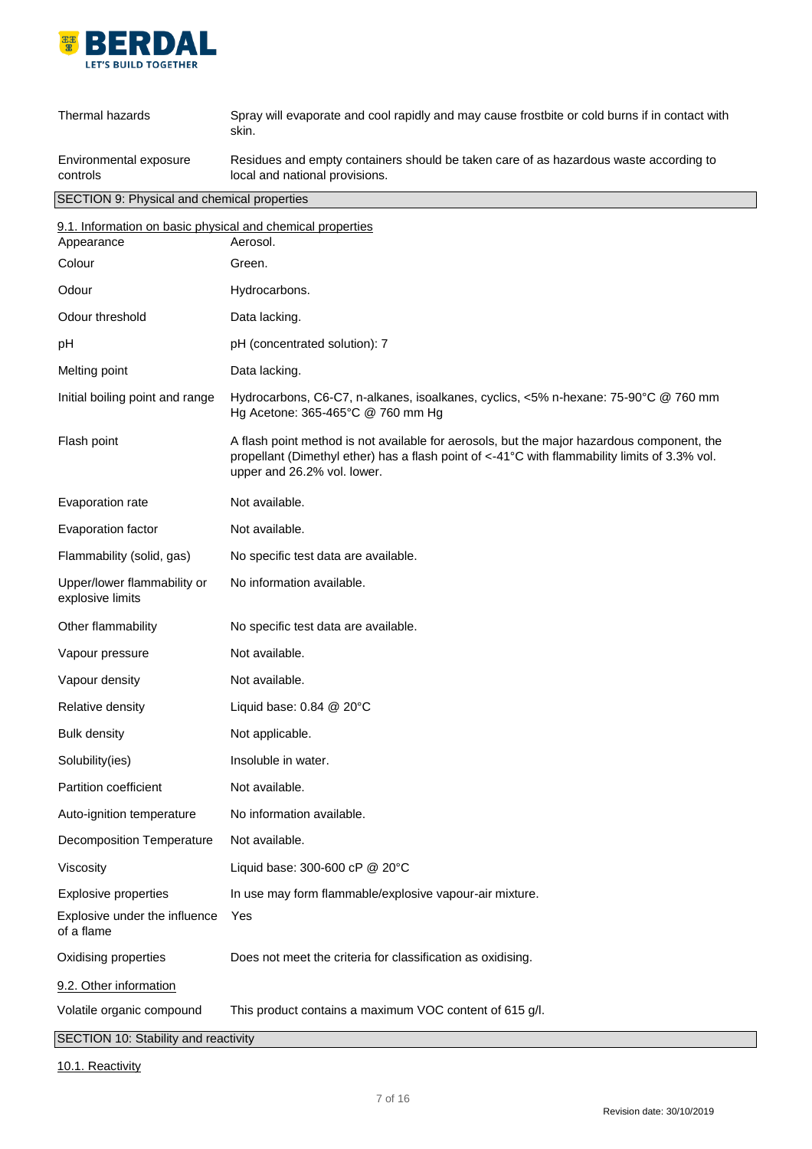

| Thermal hazards                                                          | Spray will evaporate and cool rapidly and may cause frostbite or cold burns if in contact with<br>skin.                                                                                                                    |
|--------------------------------------------------------------------------|----------------------------------------------------------------------------------------------------------------------------------------------------------------------------------------------------------------------------|
| Environmental exposure<br>controls                                       | Residues and empty containers should be taken care of as hazardous waste according to<br>local and national provisions.                                                                                                    |
| SECTION 9: Physical and chemical properties                              |                                                                                                                                                                                                                            |
| 9.1. Information on basic physical and chemical properties<br>Appearance | Aerosol.                                                                                                                                                                                                                   |
| Colour                                                                   | Green.                                                                                                                                                                                                                     |
| Odour                                                                    | Hydrocarbons.                                                                                                                                                                                                              |
| Odour threshold                                                          | Data lacking.                                                                                                                                                                                                              |
| pН                                                                       | pH (concentrated solution): 7                                                                                                                                                                                              |
| Melting point                                                            | Data lacking.                                                                                                                                                                                                              |
| Initial boiling point and range                                          | Hydrocarbons, C6-C7, n-alkanes, isoalkanes, cyclics, <5% n-hexane: 75-90°C @ 760 mm<br>Hg Acetone: 365-465°C @ 760 mm Hg                                                                                                   |
| Flash point                                                              | A flash point method is not available for aerosols, but the major hazardous component, the<br>propellant (Dimethyl ether) has a flash point of <-41°C with flammability limits of 3.3% vol.<br>upper and 26.2% vol. lower. |
| Evaporation rate                                                         | Not available.                                                                                                                                                                                                             |
| Evaporation factor                                                       | Not available.                                                                                                                                                                                                             |
| Flammability (solid, gas)                                                | No specific test data are available.                                                                                                                                                                                       |
| Upper/lower flammability or<br>explosive limits                          | No information available.                                                                                                                                                                                                  |
| Other flammability                                                       | No specific test data are available.                                                                                                                                                                                       |
| Vapour pressure                                                          | Not available.                                                                                                                                                                                                             |
| Vapour density                                                           | Not available.                                                                                                                                                                                                             |
| Relative density                                                         | Liquid base: $0.84 \ @ 20^{\circ}$ C                                                                                                                                                                                       |
| <b>Bulk density</b>                                                      | Not applicable.                                                                                                                                                                                                            |
| Solubility(ies)                                                          | Insoluble in water.                                                                                                                                                                                                        |
| Partition coefficient                                                    | Not available.                                                                                                                                                                                                             |
| Auto-ignition temperature                                                | No information available.                                                                                                                                                                                                  |
| <b>Decomposition Temperature</b>                                         | Not available.                                                                                                                                                                                                             |
| Viscosity                                                                | Liquid base: 300-600 cP @ 20°C                                                                                                                                                                                             |
| <b>Explosive properties</b>                                              | In use may form flammable/explosive vapour-air mixture.                                                                                                                                                                    |
| Explosive under the influence<br>of a flame                              | Yes                                                                                                                                                                                                                        |
| Oxidising properties                                                     | Does not meet the criteria for classification as oxidising.                                                                                                                                                                |
| 9.2. Other information                                                   |                                                                                                                                                                                                                            |
| Volatile organic compound                                                | This product contains a maximum VOC content of 615 g/l.                                                                                                                                                                    |
| SECTION 10: Stability and reactivity                                     |                                                                                                                                                                                                                            |

10.1. Reactivity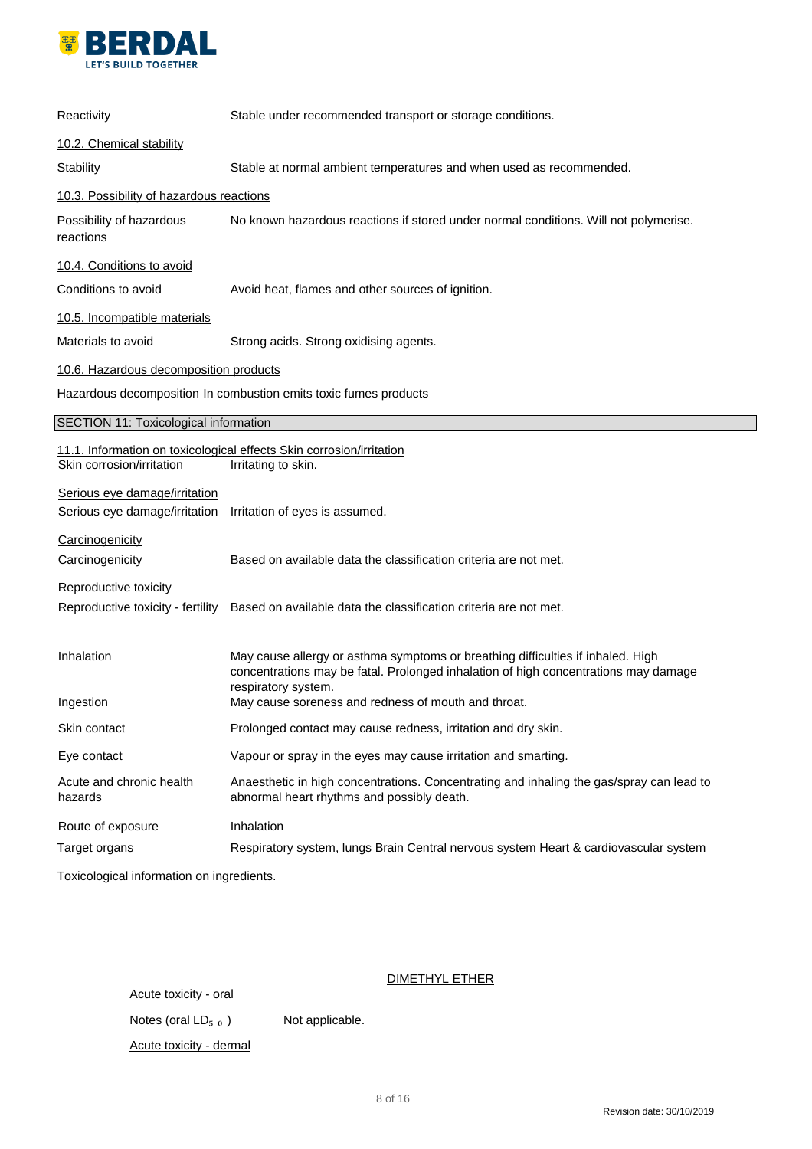

| Reactivity                                                     | Stable under recommended transport or storage conditions.                                                                                                                                     |
|----------------------------------------------------------------|-----------------------------------------------------------------------------------------------------------------------------------------------------------------------------------------------|
| 10.2. Chemical stability                                       |                                                                                                                                                                                               |
| Stability                                                      | Stable at normal ambient temperatures and when used as recommended.                                                                                                                           |
| 10.3. Possibility of hazardous reactions                       |                                                                                                                                                                                               |
| Possibility of hazardous<br>reactions                          | No known hazardous reactions if stored under normal conditions. Will not polymerise.                                                                                                          |
| 10.4. Conditions to avoid                                      |                                                                                                                                                                                               |
| Conditions to avoid                                            | Avoid heat, flames and other sources of ignition.                                                                                                                                             |
| 10.5. Incompatible materials                                   |                                                                                                                                                                                               |
| Materials to avoid                                             | Strong acids. Strong oxidising agents.                                                                                                                                                        |
| 10.6. Hazardous decomposition products                         |                                                                                                                                                                                               |
|                                                                | Hazardous decomposition In combustion emits toxic fumes products                                                                                                                              |
| SECTION 11: Toxicological information                          |                                                                                                                                                                                               |
| Skin corrosion/irritation                                      | 11.1. Information on toxicological effects Skin corrosion/irritation<br>Irritating to skin.                                                                                                   |
| Serious eye damage/irritation<br>Serious eye damage/irritation | Irritation of eyes is assumed.                                                                                                                                                                |
| Carcinogenicity<br>Carcinogenicity                             | Based on available data the classification criteria are not met.                                                                                                                              |
| Reproductive toxicity                                          | Reproductive toxicity - fertility Based on available data the classification criteria are not met.                                                                                            |
| Inhalation                                                     | May cause allergy or asthma symptoms or breathing difficulties if inhaled. High<br>concentrations may be fatal. Prolonged inhalation of high concentrations may damage<br>respiratory system. |
| Ingestion                                                      | May cause soreness and redness of mouth and throat.                                                                                                                                           |
| Skin contact                                                   | Prolonged contact may cause redness, irritation and dry skin.                                                                                                                                 |
| Eye contact                                                    | Vapour or spray in the eyes may cause irritation and smarting.                                                                                                                                |
| Acute and chronic health<br>hazards                            | Anaesthetic in high concentrations. Concentrating and inhaling the gas/spray can lead to<br>abnormal heart rhythms and possibly death.                                                        |
| Route of exposure                                              | Inhalation                                                                                                                                                                                    |
| Target organs                                                  | Respiratory system, lungs Brain Central nervous system Heart & cardiovascular system                                                                                                          |
| Toxicological information on ingredients.                      |                                                                                                                                                                                               |

DIMETHYL ETHER

Acute toxicity - oral Notes (oral  $LD_{50}$ ) Acute toxicity - dermal Not applicable.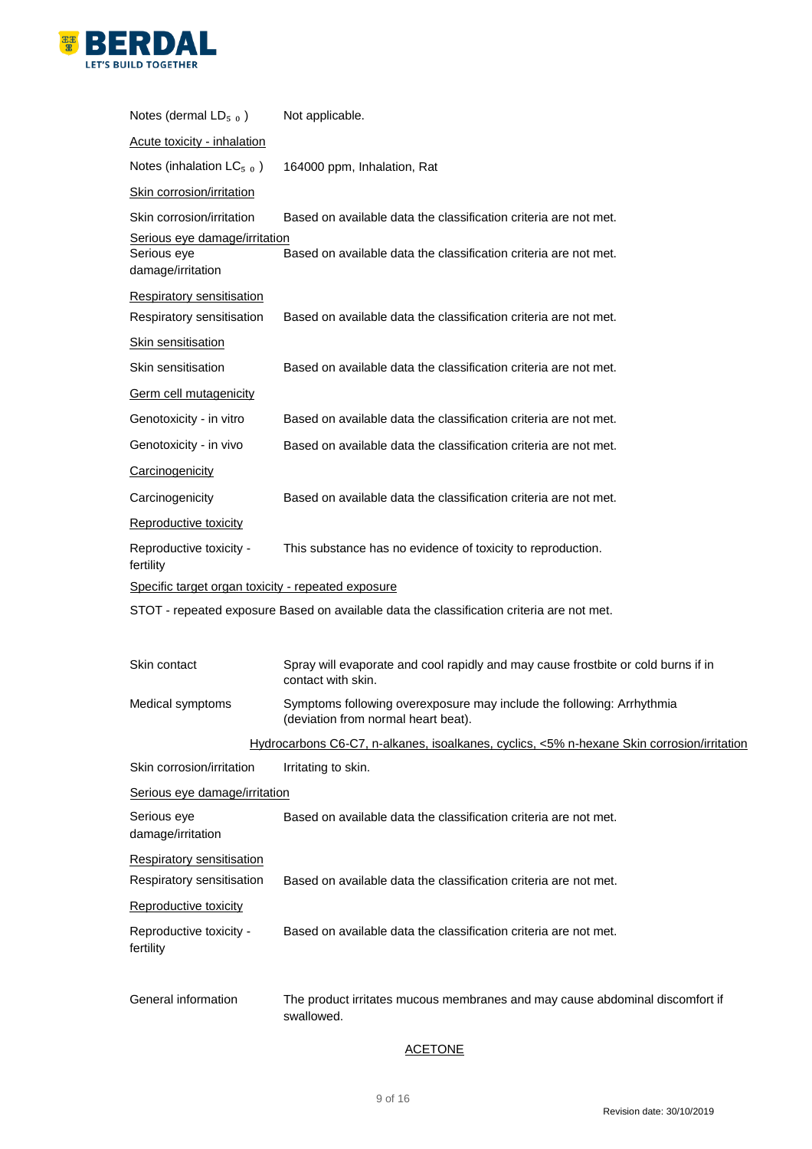

| Notes (dermal $LD_{5,0}$ )                                        | Not applicable.                                                                                              |
|-------------------------------------------------------------------|--------------------------------------------------------------------------------------------------------------|
| <b>Acute toxicity - inhalation</b>                                |                                                                                                              |
| Notes (inhalation $LC_{5,0}$ )                                    | 164000 ppm, Inhalation, Rat                                                                                  |
| Skin corrosion/irritation                                         |                                                                                                              |
| Skin corrosion/irritation                                         | Based on available data the classification criteria are not met.                                             |
| Serious eye damage/irritation<br>Serious eye<br>damage/irritation | Based on available data the classification criteria are not met.                                             |
| <b>Respiratory sensitisation</b>                                  |                                                                                                              |
| Respiratory sensitisation                                         | Based on available data the classification criteria are not met.                                             |
| <b>Skin sensitisation</b>                                         |                                                                                                              |
| Skin sensitisation                                                | Based on available data the classification criteria are not met.                                             |
| Germ cell mutagenicity                                            |                                                                                                              |
| Genotoxicity - in vitro                                           | Based on available data the classification criteria are not met.                                             |
| Genotoxicity - in vivo                                            | Based on available data the classification criteria are not met.                                             |
| Carcinogenicity                                                   |                                                                                                              |
| Carcinogenicity                                                   | Based on available data the classification criteria are not met.                                             |
| Reproductive toxicity                                             |                                                                                                              |
| Reproductive toxicity -<br>fertility                              | This substance has no evidence of toxicity to reproduction.                                                  |
| Specific target organ toxicity - repeated exposure                |                                                                                                              |
|                                                                   | STOT - repeated exposure Based on available data the classification criteria are not met.                    |
|                                                                   |                                                                                                              |
| Skin contact                                                      | Spray will evaporate and cool rapidly and may cause frostbite or cold burns if in<br>contact with skin.      |
| Medical symptoms                                                  | Symptoms following overexposure may include the following: Arrhythmia<br>(deviation from normal heart beat). |
|                                                                   | Hydrocarbons C6-C7, n-alkanes, isoalkanes, cyclics, <5% n-hexane Skin corrosion/irritation                   |
| Skin corrosion/irritation                                         | Irritating to skin.                                                                                          |
| Serious eye damage/irritation                                     |                                                                                                              |
| Serious eye<br>damage/irritation                                  | Based on available data the classification criteria are not met.                                             |
| <b>Respiratory sensitisation</b><br>Respiratory sensitisation     | Based on available data the classification criteria are not met.                                             |
| Reproductive toxicity                                             |                                                                                                              |
| Reproductive toxicity -<br>fertility                              | Based on available data the classification criteria are not met.                                             |
| General information                                               | The product irritates mucous membranes and may cause abdominal discomfort if<br>swallowed.                   |

## **ACETONE**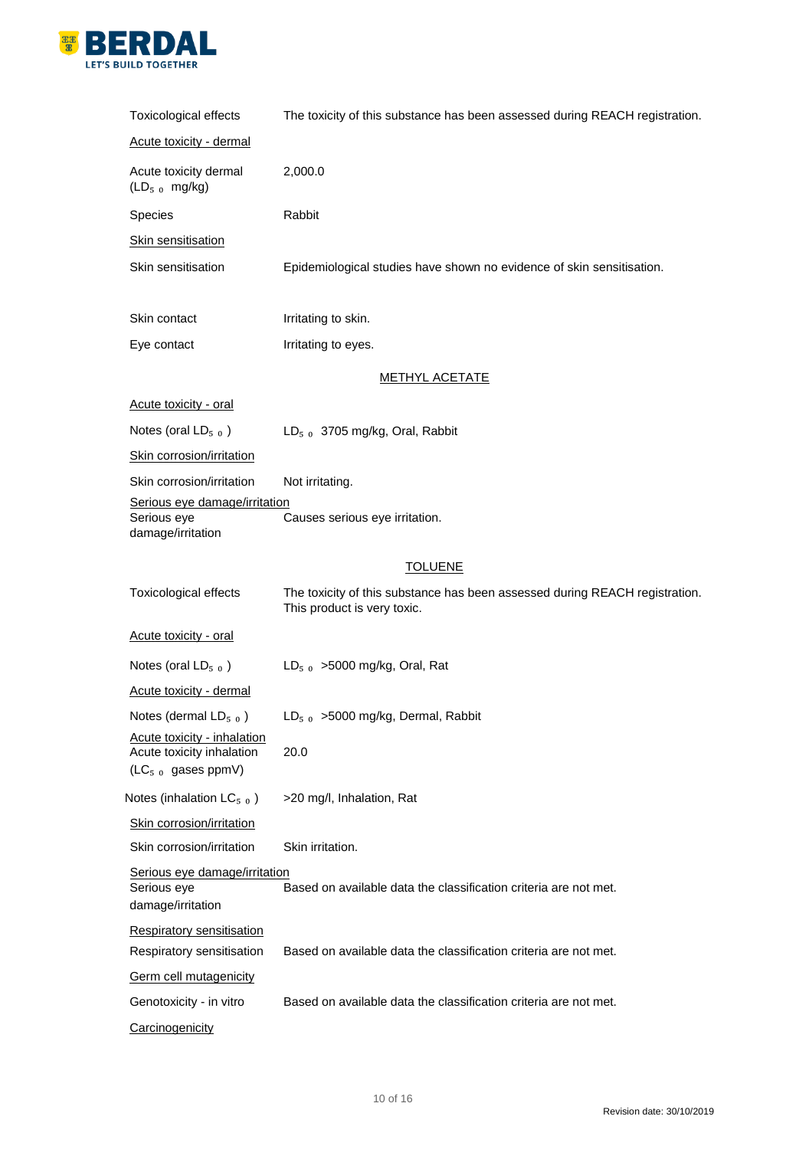

| <b>Toxicological effects</b>                                                    | The toxicity of this substance has been assessed during REACH registration.                                |
|---------------------------------------------------------------------------------|------------------------------------------------------------------------------------------------------------|
| Acute toxicity - dermal                                                         |                                                                                                            |
| Acute toxicity dermal<br>(LD <sub>50</sub> mg/kg)                               | 2,000.0                                                                                                    |
| Species                                                                         | Rabbit                                                                                                     |
| Skin sensitisation                                                              |                                                                                                            |
| Skin sensitisation                                                              | Epidemiological studies have shown no evidence of skin sensitisation.                                      |
| Skin contact                                                                    | Irritating to skin.                                                                                        |
| Eye contact                                                                     | Irritating to eyes.                                                                                        |
|                                                                                 | <u>METHYL ACETATE</u>                                                                                      |
| Acute toxicity - oral                                                           |                                                                                                            |
| Notes (oral $LD_{5,0}$ )                                                        | $LD_{5,0}$ 3705 mg/kg, Oral, Rabbit                                                                        |
| Skin corrosion/irritation                                                       |                                                                                                            |
| Skin corrosion/irritation                                                       | Not irritating.                                                                                            |
| Serious eye damage/irritation<br>Serious eye<br>damage/irritation               | Causes serious eye irritation.                                                                             |
|                                                                                 | <b>TOLUENE</b>                                                                                             |
| Toxicological effects                                                           | The toxicity of this substance has been assessed during REACH registration.<br>This product is very toxic. |
| Acute toxicity - oral                                                           |                                                                                                            |
| Notes (oral $LD_{5,0}$ )                                                        | $LD_{5,0}$ >5000 mg/kg, Oral, Rat                                                                          |
| Acute toxicity - dermal                                                         |                                                                                                            |
| Notes (dermal $LD_{5,0}$ )                                                      | $LD_{50}$ >5000 mg/kg, Dermal, Rabbit                                                                      |
| Acute toxicity - inhalation<br>Acute toxicity inhalation<br>$(LC50$ gases ppmV) | 20.0                                                                                                       |
| Notes (inhalation $LC_{5,0}$ )                                                  | >20 mg/l, Inhalation, Rat                                                                                  |
| Skin corrosion/irritation                                                       |                                                                                                            |
| Skin corrosion/irritation                                                       | Skin irritation.                                                                                           |
| Serious eye damage/irritation<br>Serious eye<br>damage/irritation               | Based on available data the classification criteria are not met.                                           |
| <b>Respiratory sensitisation</b>                                                |                                                                                                            |
| Respiratory sensitisation                                                       | Based on available data the classification criteria are not met.                                           |
| Germ cell mutagenicity                                                          |                                                                                                            |
| Genotoxicity - in vitro                                                         | Based on available data the classification criteria are not met.                                           |
| Carcinogenicity                                                                 |                                                                                                            |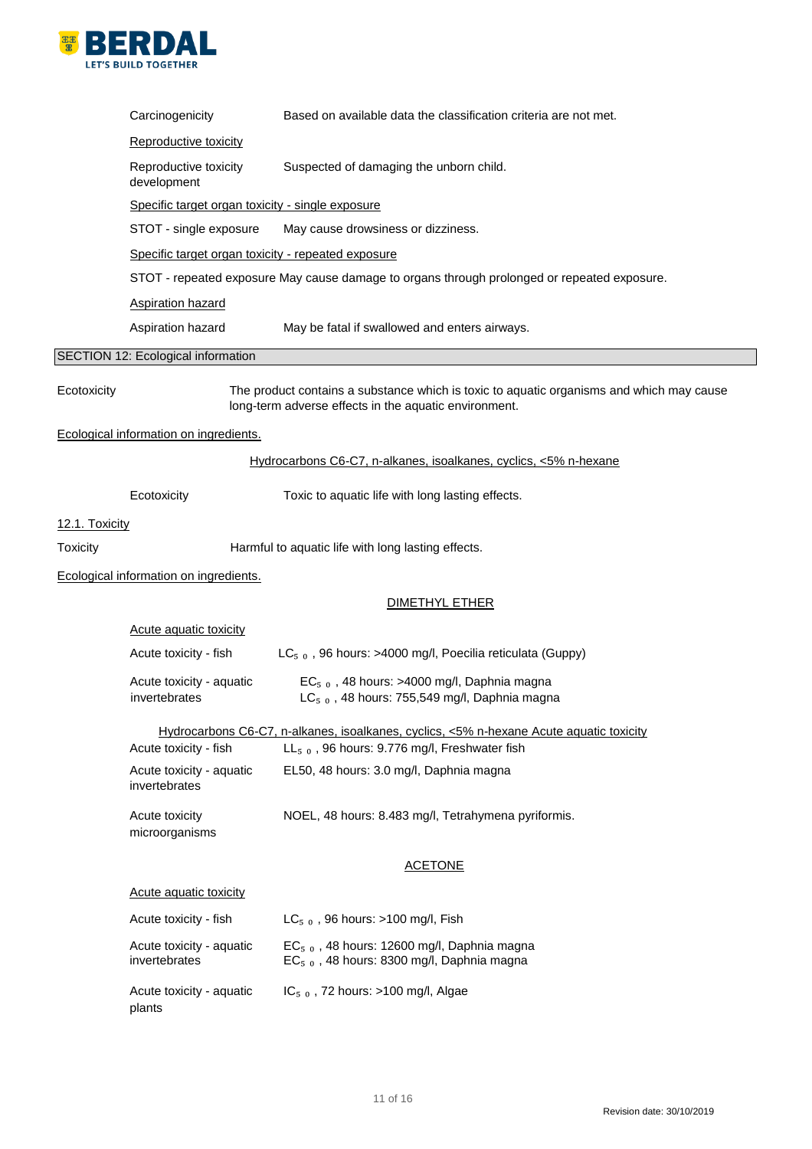

|                       | Carcinogenicity                                    | Based on available data the classification criteria are not met.                                                                                  |  |  |  |
|-----------------------|----------------------------------------------------|---------------------------------------------------------------------------------------------------------------------------------------------------|--|--|--|
|                       | Reproductive toxicity                              |                                                                                                                                                   |  |  |  |
|                       | Reproductive toxicity<br>development               | Suspected of damaging the unborn child.                                                                                                           |  |  |  |
|                       | Specific target organ toxicity - single exposure   |                                                                                                                                                   |  |  |  |
|                       | STOT - single exposure                             | May cause drowsiness or dizziness.                                                                                                                |  |  |  |
|                       | Specific target organ toxicity - repeated exposure |                                                                                                                                                   |  |  |  |
|                       |                                                    | STOT - repeated exposure May cause damage to organs through prolonged or repeated exposure.                                                       |  |  |  |
|                       | Aspiration hazard                                  |                                                                                                                                                   |  |  |  |
|                       | Aspiration hazard                                  | May be fatal if swallowed and enters airways.                                                                                                     |  |  |  |
|                       | <b>SECTION 12: Ecological information</b>          |                                                                                                                                                   |  |  |  |
| Ecotoxicity           |                                                    | The product contains a substance which is toxic to aquatic organisms and which may cause<br>long-term adverse effects in the aquatic environment. |  |  |  |
|                       | Ecological information on ingredients.             |                                                                                                                                                   |  |  |  |
|                       |                                                    | Hydrocarbons C6-C7, n-alkanes, isoalkanes, cyclics, <5% n-hexane                                                                                  |  |  |  |
|                       | Ecotoxicity                                        | Toxic to aquatic life with long lasting effects.                                                                                                  |  |  |  |
|                       |                                                    |                                                                                                                                                   |  |  |  |
| <b>12.1. Toxicity</b> |                                                    |                                                                                                                                                   |  |  |  |
| <b>Toxicity</b>       |                                                    | Harmful to aquatic life with long lasting effects.                                                                                                |  |  |  |
|                       | Ecological information on ingredients.             |                                                                                                                                                   |  |  |  |
|                       |                                                    | <b>DIMETHYL ETHER</b>                                                                                                                             |  |  |  |
|                       | <b>Acute aquatic toxicity</b>                      |                                                                                                                                                   |  |  |  |
|                       | Acute toxicity - fish                              | $LC_{5,0}$ , 96 hours: >4000 mg/l, Poecilia reticulata (Guppy)                                                                                    |  |  |  |
|                       | Acute toxicity - aquatic<br>invertebrates          | $EC_{5,0}$ , 48 hours: >4000 mg/l, Daphnia magna<br>$LC_{50}$ , 48 hours: 755,549 mg/l, Daphnia magna                                             |  |  |  |
|                       |                                                    | Hydrocarbons C6-C7, n-alkanes, isoalkanes, cyclics, <5% n-hexane Acute aquatic toxicity                                                           |  |  |  |
|                       | Acute toxicity - fish                              | $LL_{5,0}$ , 96 hours: 9.776 mg/l, Freshwater fish                                                                                                |  |  |  |
|                       | Acute toxicity - aquatic<br>invertebrates          | EL50, 48 hours: 3.0 mg/l, Daphnia magna                                                                                                           |  |  |  |
|                       | Acute toxicity<br>microorganisms                   | NOEL, 48 hours: 8.483 mg/l, Tetrahymena pyriformis.                                                                                               |  |  |  |
|                       |                                                    | <b>ACETONE</b>                                                                                                                                    |  |  |  |
|                       | <b>Acute aquatic toxicity</b>                      |                                                                                                                                                   |  |  |  |
|                       | Acute toxicity - fish                              | $LC_{50}$ , 96 hours: >100 mg/l, Fish                                                                                                             |  |  |  |
|                       | Acute toxicity - aquatic<br>invertebrates          | $EC_{5,0}$ , 48 hours: 12600 mg/l, Daphnia magna<br>$EC_{5,0}$ , 48 hours: 8300 mg/l, Daphnia magna                                               |  |  |  |
|                       | Acute toxicity - aquatic<br>plants                 | $IC_{5,0}$ , 72 hours: >100 mg/l, Algae                                                                                                           |  |  |  |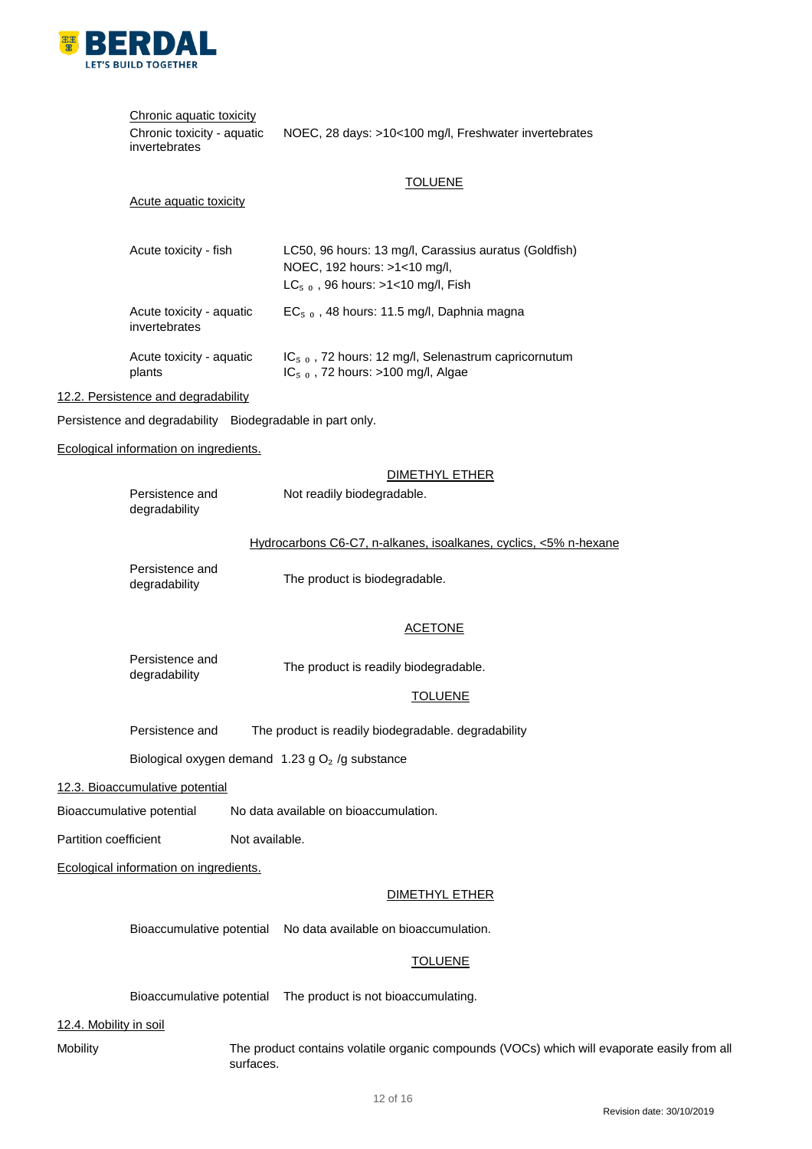

#### Chronic aquatic toxicity

Chronic toxicity - aquatic invertebrates NOEC, 28 days: >10<100 mg/l, Freshwater invertebrates

#### **TOLUENE**

DIMETHYL ETHER

## Acute aquatic toxicity

| Acute toxicity - fish                     | LC50, 96 hours: 13 mg/l, Carassius auratus (Goldfish)<br>NOEC, 192 hours: >1<10 mg/l,<br>$LC_{5,0}$ , 96 hours: >1<10 mg/l, Fish |
|-------------------------------------------|----------------------------------------------------------------------------------------------------------------------------------|
| Acute toxicity - aquatic<br>invertebrates | $EC_{5,0}$ , 48 hours: 11.5 mg/l, Daphnia magna                                                                                  |
| Acute toxicity - aquatic<br>plants        | IC <sub>50</sub> , 72 hours: 12 mg/l, Selenastrum capricornutum<br>$IC_{5,0}$ , 72 hours: >100 mg/l, Algae                       |

12.2. Persistence and degradability

Persistence and degradability Biodegradable in part only.

Ecological information on ingredients.

|                        | Persistence and<br>degradability       |                | Not readily biodegradable.                                       |
|------------------------|----------------------------------------|----------------|------------------------------------------------------------------|
|                        |                                        |                | Hydrocarbons C6-C7, n-alkanes, isoalkanes, cyclics, <5% n-hexane |
|                        | Persistence and<br>degradability       |                | The product is biodegradable.                                    |
|                        |                                        |                | <b>ACETONE</b>                                                   |
|                        | Persistence and<br>degradability       |                | The product is readily biodegradable.                            |
|                        |                                        |                | <b>TOLUENE</b>                                                   |
|                        | Persistence and                        |                | The product is readily biodegradable. degradability              |
|                        |                                        |                | Biological oxygen demand $1.23$ g O <sub>2</sub> /g substance    |
|                        | 12.3. Bioaccumulative potential        |                |                                                                  |
|                        | Bioaccumulative potential              |                | No data available on bioaccumulation.                            |
| Partition coefficient  |                                        | Not available. |                                                                  |
|                        | Ecological information on ingredients. |                |                                                                  |
|                        |                                        |                | <b>DIMETHYL ETHER</b>                                            |
|                        |                                        |                | Bioaccumulative potential No data available on bioaccumulation.  |
|                        |                                        |                | <b>TOLUENE</b>                                                   |
|                        |                                        |                | Bioaccumulative potential   The product is not bioaccumulating.  |
| 12.4. Mobility in soil |                                        |                |                                                                  |

Mobility The product contains volatile organic compounds (VOCs) which will evaporate easily from all surfaces.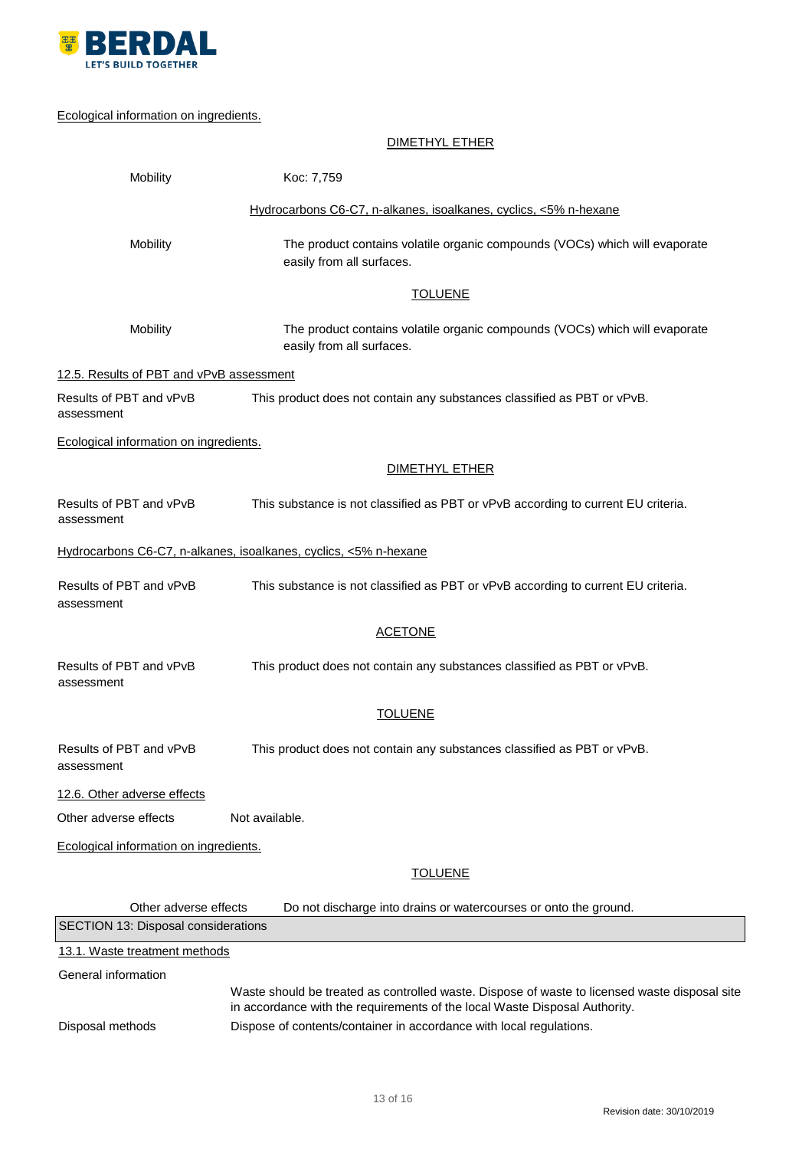

## Ecological information on ingredients.

## DIMETHYL ETHER

| Mobility                                 | Koc: 7,759                                                                                                                                                                  |
|------------------------------------------|-----------------------------------------------------------------------------------------------------------------------------------------------------------------------------|
|                                          | Hydrocarbons C6-C7, n-alkanes, isoalkanes, cyclics, <5% n-hexane                                                                                                            |
| Mobility                                 | The product contains volatile organic compounds (VOCs) which will evaporate<br>easily from all surfaces.                                                                    |
|                                          | <b>TOLUENE</b>                                                                                                                                                              |
| Mobility                                 | The product contains volatile organic compounds (VOCs) which will evaporate<br>easily from all surfaces.                                                                    |
| 12.5. Results of PBT and vPvB assessment |                                                                                                                                                                             |
| Results of PBT and vPvB<br>assessment    | This product does not contain any substances classified as PBT or vPvB.                                                                                                     |
| Ecological information on ingredients.   |                                                                                                                                                                             |
|                                          | <b>DIMETHYL ETHER</b>                                                                                                                                                       |
| Results of PBT and vPvB<br>assessment    | This substance is not classified as PBT or vPvB according to current EU criteria.                                                                                           |
|                                          | Hydrocarbons C6-C7, n-alkanes, isoalkanes, cyclics, <5% n-hexane                                                                                                            |
| Results of PBT and vPvB<br>assessment    | This substance is not classified as PBT or vPvB according to current EU criteria.                                                                                           |
|                                          | <b>ACETONE</b>                                                                                                                                                              |
| Results of PBT and vPvB<br>assessment    | This product does not contain any substances classified as PBT or vPvB.                                                                                                     |
|                                          | <b>TOLUENE</b>                                                                                                                                                              |
| Results of PBT and vPvB<br>assessment    | This product does not contain any substances classified as PBT or vPvB.                                                                                                     |
| 12.6. Other adverse effects              |                                                                                                                                                                             |
| Other adverse effects                    | Not available.                                                                                                                                                              |
| Ecological information on ingredients.   |                                                                                                                                                                             |
|                                          | <b>TOLUENE</b>                                                                                                                                                              |
| Other adverse effects                    | Do not discharge into drains or watercourses or onto the ground.                                                                                                            |
| SECTION 13: Disposal considerations      |                                                                                                                                                                             |
| 13.1. Waste treatment methods            |                                                                                                                                                                             |
| General information                      |                                                                                                                                                                             |
|                                          | Waste should be treated as controlled waste. Dispose of waste to licensed waste disposal site<br>in accordance with the requirements of the local Waste Disposal Authority. |
| Disposal methods                         | Dispose of contents/container in accordance with local regulations.                                                                                                         |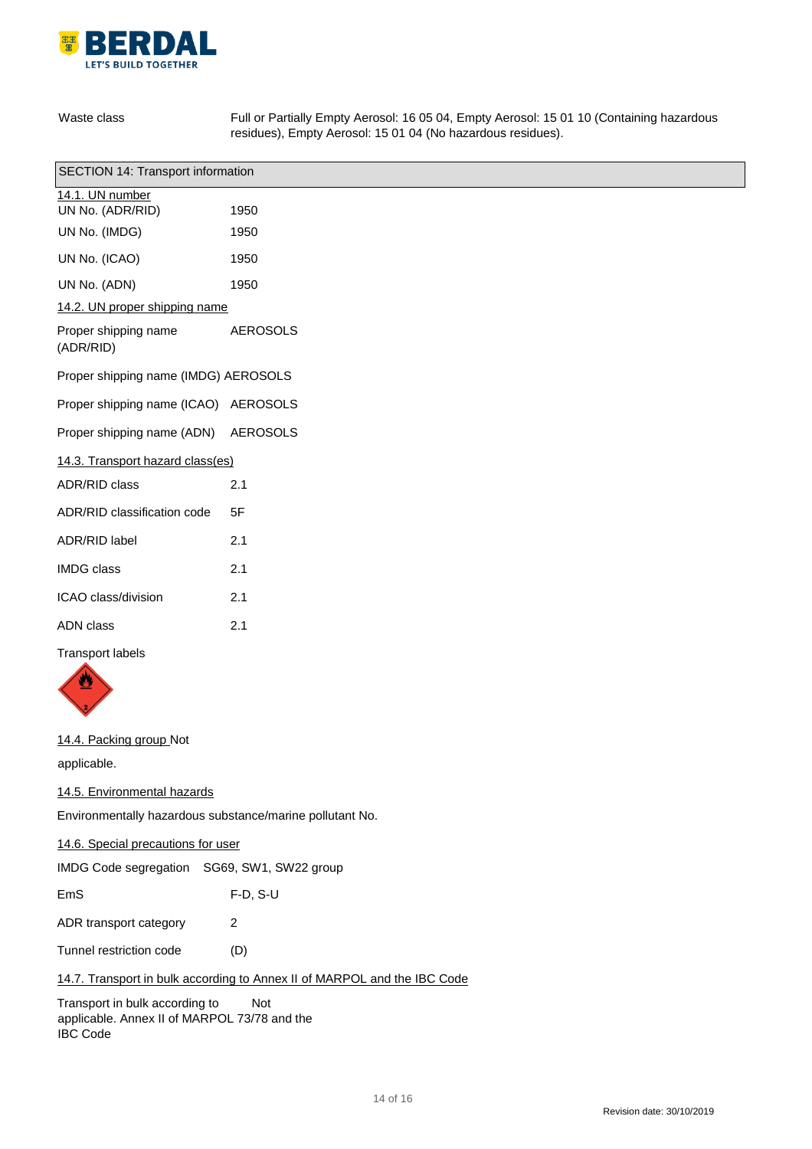

Waste class Full or Partially Empty Aerosol: 16 05 04, Empty Aerosol: 15 01 10 (Containing hazardous residues), Empty Aerosol: 15 01 04 (No hazardous residues).

| SECTION 14: Transport information    |                 |  |
|--------------------------------------|-----------------|--|
| 14.1. UN number<br>UN No. (ADR/RID)  | 1950            |  |
| UN No. (IMDG)                        | 1950            |  |
| UN No. (ICAO)                        | 1950            |  |
| UN No. (ADN)                         | 1950            |  |
| 14.2. UN proper shipping name        |                 |  |
| Proper shipping name<br>(ADR/RID)    | <b>AEROSOLS</b> |  |
| Proper shipping name (IMDG) AEROSOLS |                 |  |
| Proper shipping name (ICAO)          | <b>AEROSOLS</b> |  |
| Proper shipping name (ADN)           | <b>AEROSOLS</b> |  |
| 14.3. Transport hazard class(es)     |                 |  |
| <b>ADR/RID class</b>                 | 2.1             |  |
| ADR/RID classification code          | 5F              |  |
| ADR/RID label                        | 2.1             |  |
| <b>IMDG</b> class                    | 2.1             |  |
| ICAO class/division                  | 2.1             |  |
| ADN class                            | 2.1             |  |

Transport labels



14.4. Packing group Not

applicable.

14.5. Environmental hazards

Environmentally hazardous substance/marine pollutant No.

14.6. Special precautions for user

IMDG Code segregation SG69, SW1, SW22 group

| EmS | $F-D, S-U$ |
|-----|------------|
|     |            |

ADR transport category 2

Tunnel restriction code (D)

### 14.7. Transport in bulk according to Annex II of MARPOL and the IBC Code

Transport in bulk according to Not applicable. Annex II of MARPOL 73/78 and the IBC Code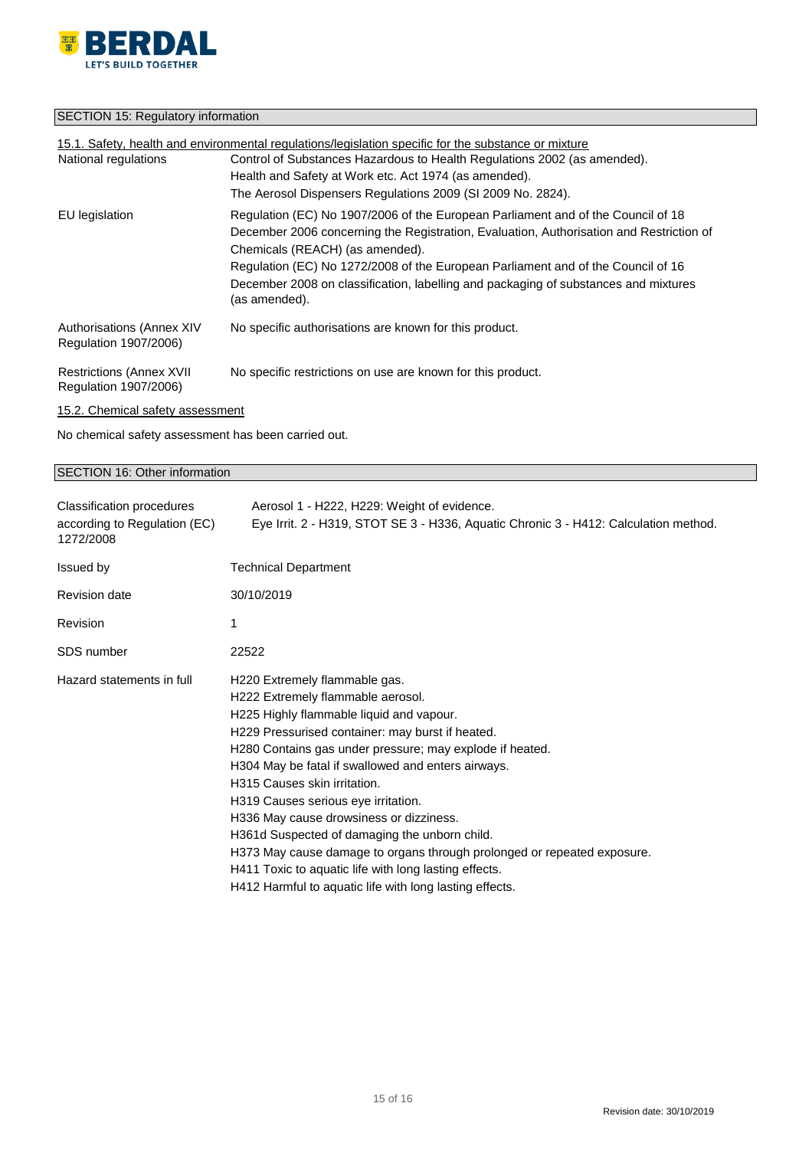

## SECTION 15: Regulatory information

| 15.1. Safety, health and environmental regulations/legislation specific for the substance or mixture |                                                                                                                                                                                                                |  |
|------------------------------------------------------------------------------------------------------|----------------------------------------------------------------------------------------------------------------------------------------------------------------------------------------------------------------|--|
| National regulations                                                                                 | Control of Substances Hazardous to Health Regulations 2002 (as amended).                                                                                                                                       |  |
|                                                                                                      | Health and Safety at Work etc. Act 1974 (as amended).                                                                                                                                                          |  |
|                                                                                                      | The Aerosol Dispensers Regulations 2009 (SI 2009 No. 2824).                                                                                                                                                    |  |
| EU legislation                                                                                       | Regulation (EC) No 1907/2006 of the European Parliament and of the Council of 18<br>December 2006 concerning the Registration, Evaluation, Authorisation and Restriction of<br>Chemicals (REACH) (as amended). |  |
|                                                                                                      | Regulation (EC) No 1272/2008 of the European Parliament and of the Council of 16                                                                                                                               |  |
|                                                                                                      | December 2008 on classification, labelling and packaging of substances and mixtures<br>(as amended).                                                                                                           |  |
| Authorisations (Annex XIV<br>Regulation 1907/2006)                                                   | No specific authorisations are known for this product.                                                                                                                                                         |  |
| <b>Restrictions (Annex XVII</b><br>Regulation 1907/2006)                                             | No specific restrictions on use are known for this product.                                                                                                                                                    |  |
| 15.2. Chemical safety assessment                                                                     |                                                                                                                                                                                                                |  |

No chemical safety assessment has been carried out.

## SECTION 16: Other information

| Classification procedures<br>according to Regulation (EC)<br>1272/2008 | Aerosol 1 - H222, H229: Weight of evidence.<br>Eye Irrit. 2 - H319, STOT SE 3 - H336, Aquatic Chronic 3 - H412: Calculation method.                                                                                                                                                                                                                                                                                                                                                                                                                                                                                                                    |
|------------------------------------------------------------------------|--------------------------------------------------------------------------------------------------------------------------------------------------------------------------------------------------------------------------------------------------------------------------------------------------------------------------------------------------------------------------------------------------------------------------------------------------------------------------------------------------------------------------------------------------------------------------------------------------------------------------------------------------------|
| Issued by                                                              | <b>Technical Department</b>                                                                                                                                                                                                                                                                                                                                                                                                                                                                                                                                                                                                                            |
| <b>Revision date</b>                                                   | 30/10/2019                                                                                                                                                                                                                                                                                                                                                                                                                                                                                                                                                                                                                                             |
| Revision                                                               | 1                                                                                                                                                                                                                                                                                                                                                                                                                                                                                                                                                                                                                                                      |
| SDS number                                                             | 22522                                                                                                                                                                                                                                                                                                                                                                                                                                                                                                                                                                                                                                                  |
| Hazard statements in full                                              | H220 Extremely flammable gas.<br>H222 Extremely flammable aerosol.<br>H225 Highly flammable liquid and vapour.<br>H229 Pressurised container: may burst if heated.<br>H280 Contains gas under pressure; may explode if heated.<br>H304 May be fatal if swallowed and enters airways.<br>H315 Causes skin irritation.<br>H319 Causes serious eye irritation.<br>H336 May cause drowsiness or dizziness.<br>H361d Suspected of damaging the unborn child.<br>H373 May cause damage to organs through prolonged or repeated exposure.<br>H411 Toxic to aquatic life with long lasting effects.<br>H412 Harmful to aquatic life with long lasting effects. |